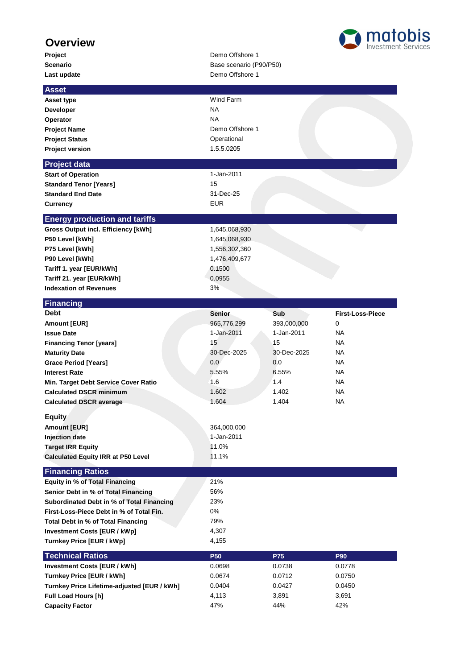## **Overview**

Last update **Last update** Demo Offshore 1

## **Project** Demo Offshore 1 **Scenario** Base scenario (P90/P50)



| <b>Asset</b>                                     |                 |             |                         |
|--------------------------------------------------|-----------------|-------------|-------------------------|
| Asset type                                       | Wind Farm       |             |                         |
| <b>Developer</b>                                 | <b>NA</b>       |             |                         |
| Operator                                         | <b>NA</b>       |             |                         |
| <b>Project Name</b>                              | Demo Offshore 1 |             |                         |
| <b>Project Status</b>                            | Operational     |             |                         |
| <b>Project version</b>                           | 1.5.5.0205      |             |                         |
| <b>Project data</b>                              |                 |             |                         |
| <b>Start of Operation</b>                        | 1-Jan-2011      |             |                         |
| <b>Standard Tenor [Years]</b>                    | 15              |             |                         |
| <b>Standard End Date</b>                         | 31-Dec-25       |             |                         |
| Currency                                         | <b>EUR</b>      |             |                         |
| <b>Energy production and tariffs</b>             |                 |             |                         |
| Gross Output incl. Efficiency [kWh]              | 1,645,068,930   |             |                         |
| P50 Level [kWh]                                  | 1,645,068,930   |             |                         |
| P75 Level [kWh]                                  | 1,556,302,360   |             |                         |
| P90 Level [kWh]                                  | 1,476,409,677   |             |                         |
| Tariff 1. year [EUR/kWh]                         | 0.1500          |             |                         |
| Tariff 21. year [EUR/kWh]                        | 0.0955          |             |                         |
| <b>Indexation of Revenues</b>                    | 3%              |             |                         |
| <b>Financing</b>                                 |                 |             |                         |
| <b>Debt</b>                                      | <b>Senior</b>   | Sub         | <b>First-Loss-Piece</b> |
| Amount [EUR]                                     | 965,776,299     | 393,000,000 | 0                       |
| <b>Issue Date</b>                                | 1-Jan-2011      | 1-Jan-2011  | <b>NA</b>               |
| <b>Financing Tenor [years]</b>                   | 15              | 15          | <b>NA</b>               |
| <b>Maturity Date</b>                             | 30-Dec-2025     | 30-Dec-2025 | <b>NA</b>               |
| <b>Grace Period [Years]</b>                      | 0.0             | 0.0         | <b>NA</b>               |
| <b>Interest Rate</b>                             | 5.55%           | 6.55%       | <b>NA</b>               |
| Min. Target Debt Service Cover Ratio             | 1.6             | 1.4         | <b>NA</b>               |
| <b>Calculated DSCR minimum</b>                   | 1.602           | 1.402       | <b>NA</b>               |
| <b>Calculated DSCR average</b>                   | 1.604           | 1.404       | NA                      |
| <b>Equity</b>                                    |                 |             |                         |
| <b>Amount [EUR]</b>                              | 364,000,000     |             |                         |
| <b>Injection date</b>                            | 1-Jan-2011      |             |                         |
| <b>Target IRR Equity</b>                         | 11.0%           |             |                         |
| <b>Calculated Equity IRR at P50 Level</b>        | 11.1%           |             |                         |
| <b>Financing Ratios</b>                          |                 |             |                         |
| <b>Equity in % of Total Financing</b>            | 21%             |             |                         |
| Senior Debt in % of Total Financing              | 56%             |             |                         |
| <b>Subordinated Debt in % of Total Financing</b> | 23%             |             |                         |
| First-Loss-Piece Debt in % of Total Fin.         | 0%              |             |                         |
| Total Debt in % of Total Financing               | 79%             |             |                         |
| <b>Investment Costs [EUR / kWp]</b>              | 4,307           |             |                         |
| Turnkey Price [EUR / kWp]                        | 4,155           |             |                         |
| <b>Technical Ratios</b>                          | <b>P50</b>      | <b>P75</b>  | <b>P90</b>              |
| <b>Investment Costs [EUR / kWh]</b>              | 0.0698          | 0.0738      | 0.0778                  |
| Turnkey Price [EUR / kWh]                        | 0.0674          | 0.0712      | 0.0750                  |
| Turnkey Price Lifetime-adjusted [EUR / kWh]      | 0.0404          | 0.0427      | 0.0450                  |
| Full Load Hours [h]                              | 4,113           | 3,891       | 3,691                   |
| <b>Capacity Factor</b>                           | 47%             | 44%         | 42%                     |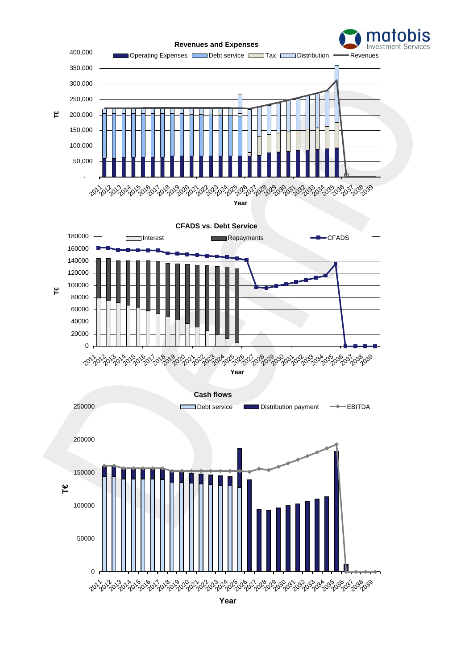



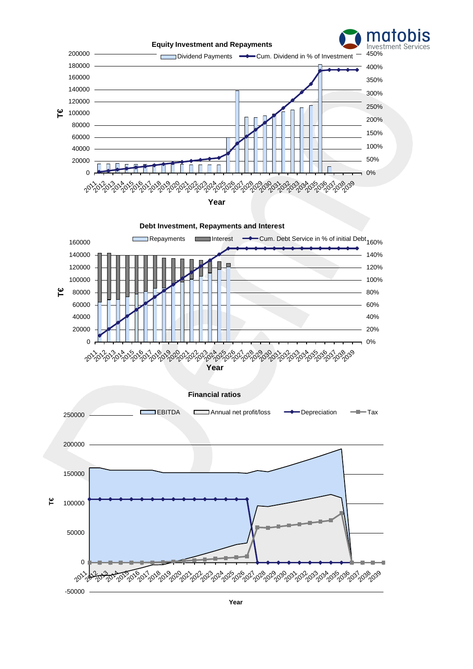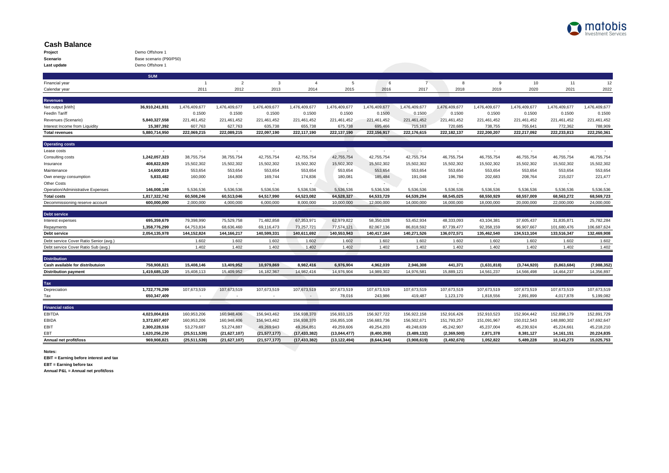

## **Cash Balance**

| Project     | Demo Offshore 1         |
|-------------|-------------------------|
| Scenario    | Base scenario (P90/P50) |
| Last update | Demo Offshore 1         |

|                                                         | <b>SUM</b>     |                          |                       |                       |                       |                       |                       |                       |                          |                       |                       |                       |                       |
|---------------------------------------------------------|----------------|--------------------------|-----------------------|-----------------------|-----------------------|-----------------------|-----------------------|-----------------------|--------------------------|-----------------------|-----------------------|-----------------------|-----------------------|
| Financial year                                          |                | $\overline{1}$           | $\overline{2}$        | 3                     | $\overline{4}$        | 5                     | 6                     | $\overline{7}$        | 8                        | 9                     | 10                    | 11                    | 12                    |
| Calendar year                                           |                | 2011                     | 2012                  | 2013                  | 2014                  | 2015                  | 2016                  | 2017                  | 2018                     | 2019                  | 2020                  | 2021                  | 2022                  |
|                                                         |                |                          |                       |                       |                       |                       |                       |                       |                          |                       |                       |                       |                       |
| <b>Revenues</b>                                         |                |                          |                       |                       |                       |                       |                       |                       |                          |                       |                       |                       |                       |
| Net output [kWh]                                        | 36,910,241,931 | 1,476,409,677            | 1,476,409,677         | 1,476,409,677         | 1,476,409,677         | 1,476,409,677         | 1,476,409,677         | 1,476,409,677         | 1,476,409,677            | 1,476,409,677         | 1,476,409,677         | 1,476,409,677         | 1,476,409,677         |
| <b>FeedIn Tariff</b><br>Revenues (Scenario)             | 5,840,327,558  | 0.1500                   | 0.1500<br>221,461,452 | 0.1500<br>221,461,452 | 0.1500<br>221,461,452 | 0.1500<br>221,461,452 | 0.1500<br>221,461,452 | 0.1500<br>221,461,452 | 0.1500<br>221,461,452    | 0.1500<br>221,461,452 | 0.1500<br>221,461,452 | 0.1500<br>221,461,452 | 0.1500<br>221,461,452 |
|                                                         | 15,387,392     | 221,461,452<br>607,763   | 627,763               | 635,738               | 655,738               | 675,738               | 695,466               | 715,163               | 720,685                  | 738,755               | 755,641               | 772,362               | 788,909               |
| Interest Income from Liquidity<br><b>Total revenues</b> | 5,880,714,950  | 222,069,215              | 222,089,215           | 222,097,190           | 222,117,190           | 222,137,190           | 222,156,917           | 222,176,615           | 222,182,137              | 222,200,207           | 222,217,092           | 222,233,813           | 222,250,361           |
|                                                         |                |                          |                       |                       |                       |                       |                       |                       |                          |                       |                       |                       |                       |
| <b>Operating costs</b>                                  |                |                          |                       |                       |                       |                       |                       |                       |                          |                       |                       |                       |                       |
| Lease costs                                             | $\sim$         | $\overline{\phantom{a}}$ | $\sim$                | $\sim$                | $\sim$                |                       |                       |                       | ٠                        | $\sim$                | $\sim$                |                       |                       |
| Consulting costs                                        | 1,242,057,323  | 38,755,754               | 38,755,754            | 42,755,754            | 42,755,754            | 42,755,754            | 42,755,754            | 42,755,754            | 46,755,754               | 46,755,754            | 46,755,754            | 46,755,754            | 46,755,754            |
| Insurance                                               | 408,822,929    | 15,502,302               | 15,502,302            | 15,502,302            | 15,502,302            | 15,502,302            | 15,502,302            | 15,502,302            | 15,502,302               | 15,502,302            | 15,502,302            | 15,502,302            | 15,502,302            |
| Maintenance                                             | 14,600,819     | 553,654                  | 553,654               | 553,654               | 553,654               | 553,654               | 553,654               | 553,654               | 553,654                  | 553,654               | 553,654               | 553,654               | 553,654               |
| Own energy consumption                                  | 5,833,482      | 160,000                  | 164,800               | 169,744               | 174,836               | 180,081               | 185,484               | 191,048               | 196,780                  | 202,683               | 208,764               | 215,027               | 221,477               |
| <b>Other Costs</b>                                      |                |                          |                       |                       |                       |                       |                       |                       | $\overline{\phantom{a}}$ | $\sim$                |                       |                       |                       |
| Operation/Administrative Expenses                       | 146,008,189    | 5,536,536                | 5,536,536             | 5,536,536             | 5,536,536             | 5,536,536             | 5,536,536             | 5,536,536             | 5,536,536                | 5,536,536             | 5,536,536             | 5,536,536             | 5,536,536             |
| <b>Total costs</b>                                      | 1,817,322,742  | 60,508,246               | 60,513,046            | 64,517,990            | 64,523,082            | 64.528.327            | 64,533,729            | 64,539,294            | 68,545,025               | 68,550,929            | 68,557,009            | 68,563,272            | 68,569,723            |
| Decommissioning reserve account                         | 600,000,000    | 2,000,000                | 4,000,000             | 6,000,000             | 8,000,000             | 10,000,000            | 12,000,000            | 14,000,000            | 16,000,000               | 18,000,000            | 20,000,000            | 22,000,000            | 24,000,000            |
| <b>Debt service</b>                                     |                |                          |                       |                       |                       |                       |                       |                       |                          |                       |                       |                       |                       |
| Interest expenses                                       | 695,359,679    | 79,398,990               | 75,529,758            | 71,482,858            | 67,353,971            | 62.979.822            | 58,350,028            | 53,452,934            | 48.333.093               | 43,104,381            | 37,605,437            | 31,835,871            | 25,782,284            |
| Repayments                                              | 1,358,776,299  | 64,753,834               | 68.636.460            | 69,116,473            | 73,257,721            | 77.574.121            | 82,067,136            | 86.818.592            | 87,739,477               | 92.358.159            | 96.907.667            | 101,680,476           | 106,687,624           |
| <b>Debt service</b>                                     | 2,054,135,978  | 144, 152, 824            | 144, 166, 217         | 140,599,331           | 140,611,692           | 140,553,943           | 140,417,164           | 140,271,526           | 136,072,571              | 135,462,540           | 134,513,104           | 133,516,347           | 132,469,908           |
| Debt service Cover Ratio Senior (avg.)                  |                | 1.602                    | 1.602                 | 1.602                 | 1.602                 | 1.602                 | 1.602                 | 1.602                 | 1.602                    | 1.602                 | 1.602                 | 1.602                 | 1.602                 |
| Debt service Cover Ratio Sub (avg.)                     |                | 1.402                    | 1.402                 | 1.402                 | 1.402                 | 1.402                 | 1.402                 | 1.402                 | 1.402                    | 1.402                 | 1.402                 | 1.402                 | 1.402                 |
|                                                         |                |                          |                       |                       |                       |                       |                       |                       |                          |                       |                       |                       |                       |
| <b>Distribution</b>                                     |                |                          |                       |                       |                       |                       |                       |                       |                          |                       |                       |                       |                       |
| Cash available for distributuion                        | 758,908,821    | 15,408,146               | 13,409,952            | 10,979,869            | 8,982,416             | 6,976,904             | 4,962,039             | 2,946,308             | 441,371                  | (1,631,818)           | (3,744,920)           | (5,863,684)           | (7,988,352)           |
| <b>Distribution payment</b>                             | 1,419,685,120  | 15,408,113               | 15,409,952            | 16.182.367            | 14,982,416            | 14,976,904            | 14,989,302            | 14,976,581            | 15,889,121               | 14,561,237            | 14,566,498            | 14,464,237            | 14,356,897            |
| Tax                                                     |                |                          |                       |                       |                       |                       |                       |                       |                          |                       |                       |                       |                       |
| Depreciation                                            | 1,722,776,299  | 107,673,519              | 107,673,519           | 107,673,519           | 107,673,519           | 107,673,519           | 107,673,519           | 107,673,519           | 107,673,519              | 107,673,519           | 107,673,519           | 107,673,519           | 107,673,519           |
| Tax                                                     | 650,347,409    |                          |                       |                       | $\sim$                | 78,016                | 243,986               | 419,487               | 1,123,170                | 1,818,556             | 2,891,899             | 4,017,878             | 5,199,082             |
|                                                         |                |                          |                       |                       |                       |                       |                       |                       |                          |                       |                       |                       |                       |
| <b>Financial ratios</b>                                 |                |                          |                       |                       |                       |                       |                       |                       |                          |                       |                       |                       |                       |
| <b>EBITDA</b>                                           | 4,023,004,816  | 160,953,206              | 160,948,406           | 156,943,462           | 156,938,370           | 156,933,125           | 156,927,722           | 156,922,158           | 152,916,426              | 152,910,523           | 152,904,442           | 152,898,179           | 152,891,729           |
| EBIDA                                                   | 3,372,657,407  | 160,953,206              | 160,948,406           | 156,943,462           | 156,938,370           | 156,855,108           | 156,683,736           | 156,502,671           | 151,793,257              | 151,091,967           | 150,012,543           | 148,880,302           | 147,692,647           |
| EBIT                                                    | 2,300,228,516  | 53,279,687               | 53,274,887            | 49,269,943            | 49,264,851            | 49,259,606            | 49,254,203            | 49,248,639            | 45,242,907               | 45,237,004            | 45,230,924            | 45,224,661            | 45,218,210            |
| EBT                                                     | 1,620,256,230  | (25, 511, 539)           | (21, 627, 107)        | (21, 577, 177)        | (17, 433, 382)        | (13,044,477)          | (8,400,359)           | (3,489,132)           | (2,369,500)              | 2,871,378             | 8,381,127             | 14, 161, 151          | 20,224,835            |
| Annual net profit/loss                                  | 969,908,821    | (25, 511, 539)           | (21, 627, 107)        | (21,577,177)          | (17, 433, 382)        | (13, 122, 494)        | (8,644,344)           | (3,908,619)           | (3, 492, 670)            | 1,052,822             | 5,489,228             | 10,143,273            | 15,025,753            |

**Notes:**

**EBIT = Earning before interest and tax**

**EBT = Earning before tax**

**Annual P&L = Annual net profit/loss**